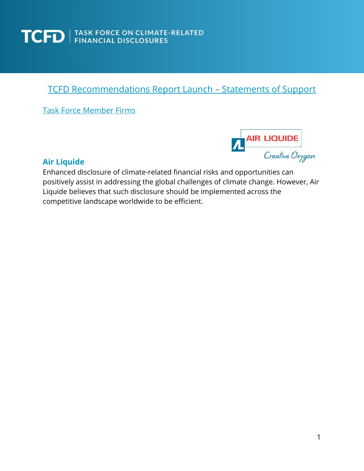

### TCFD Recommendations Report Launch – Statements of Support

Task Force Member Firms



### **Air Liquide**

Enhanced disclosure of climate-related financial risks and opportunities can positively assist in addressing the global challenges of climate change. However, Air Liquide believes that such disclosure should be implemented across the competitive landscape worldwide to be efficient.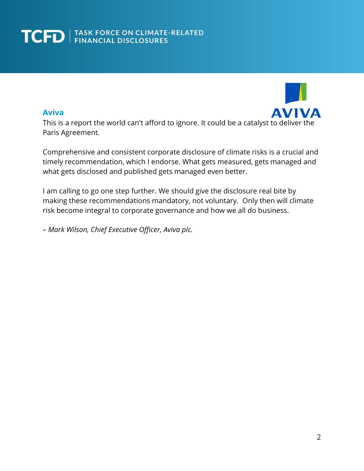### **Aviva**



This is a report the world can't afford to ignore. It could be a catalyst to deliver the Paris Agreement.

Comprehensive and consistent corporate disclosure of climate risks is a crucial and timely recommendation, which I endorse. What gets measured, gets managed and what gets disclosed and published gets managed even better.

I am calling to go one step further. We should give the disclosure real bite by making these recommendations mandatory, not voluntary. Only then will climate risk become integral to corporate governance and how we all do business.

– *Mark Wilson, Chief Executive Officer, Aviva plc.*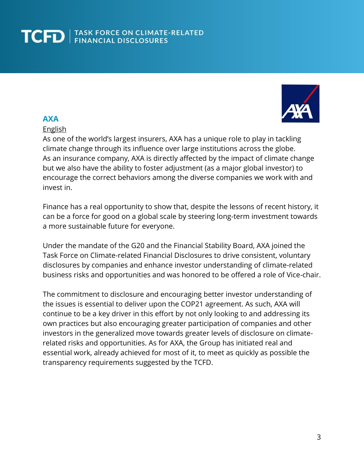

### **AXA**

#### English

As one of the world's largest insurers, AXA has a unique role to play in tackling climate change through its influence over large institutions across the globe. As an insurance company, AXA is directly affected by the impact of climate change but we also have the ability to foster adjustment (as a major global investor) to encourage the correct behaviors among the diverse companies we work with and invest in.

Finance has a real opportunity to show that, despite the lessons of recent history, it can be a force for good on a global scale by steering long-term investment towards a more sustainable future for everyone.

Under the mandate of the G20 and the Financial Stability Board, AXA joined the Task Force on Climate-related Financial Disclosures to drive consistent, voluntary disclosures by companies and enhance investor understanding of climate-related business risks and opportunities and was honored to be offered a role of Vice-chair.

The commitment to disclosure and encouraging better investor understanding of the issues is essential to deliver upon the COP21 agreement. As such, AXA will continue to be a key driver in this effort by not only looking to and addressing its own practices but also encouraging greater participation of companies and other investors in the generalized move towards greater levels of disclosure on climaterelated risks and opportunities. As for AXA, the Group has initiated real and essential work, already achieved for most of it, to meet as quickly as possible the transparency requirements suggested by the TCFD.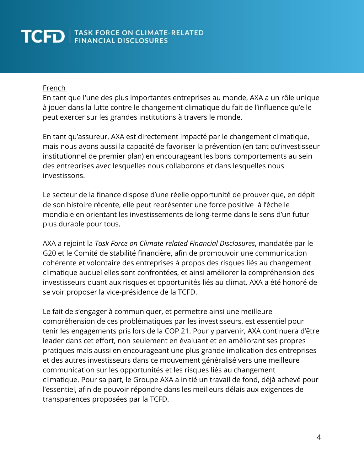#### French

En tant que l'une des plus importantes entreprises au monde, AXA a un rôle unique à jouer dans la lutte contre le changement climatique du fait de l'influence qu'elle peut exercer sur les grandes institutions à travers le monde.

En tant qu'assureur, AXA est directement impacté par le changement climatique, mais nous avons aussi la capacité de favoriser la prévention (en tant qu'investisseur institutionnel de premier plan) en encourageant les bons comportements au sein des entreprises avec lesquelles nous collaborons et dans lesquelles nous investissons.

Le secteur de la finance dispose d'une réelle opportunité de prouver que, en dépit de son histoire récente, elle peut représenter une force positive à l'échelle mondiale en orientant les investissements de long-terme dans le sens d'un futur plus durable pour tous.

AXA a rejoint la *Task Force on Climate-related Financial Disclosures*, mandatée par le G20 et le Comité de stabilité financière, afin de promouvoir une communication cohérente et volontaire des entreprises à propos des risques liés au changement climatique auquel elles sont confrontées, et ainsi améliorer la compréhension des investisseurs quant aux risques et opportunités liés au climat. AXA a été honoré de se voir proposer la vice-présidence de la TCFD.

Le fait de s'engager à communiquer, et permettre ainsi une meilleure compréhension de ces problématiques par les investisseurs, est essentiel pour tenir les engagements pris lors de la COP 21. Pour y parvenir, AXA continuera d'être leader dans cet effort, non seulement en évaluant et en améliorant ses propres pratiques mais aussi en encourageant une plus grande implication des entreprises et des autres investisseurs dans ce mouvement généralisé vers une meilleure communication sur les opportunités et les risques liés au changement climatique. Pour sa part, le Groupe AXA a initié un travail de fond, déjà achevé pour l'essentiel, afin de pouvoir répondre dans les meilleurs délais aux exigences de transparences proposées par la TCFD.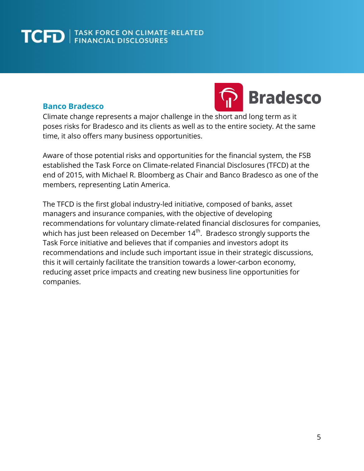### **Banco Bradesco**



Climate change represents a major challenge in the short and long term as it poses risks for Bradesco and its clients as well as to the entire society. At the same time, it also offers many business opportunities.

Aware of those potential risks and opportunities for the financial system, the FSB established the Task Force on Climate-related Financial Disclosures (TFCD) at the end of 2015, with Michael R. Bloomberg as Chair and Banco Bradesco as one of the members, representing Latin America.

The TFCD is the first global industry-led initiative, composed of banks, asset managers and insurance companies, with the objective of developing recommendations for voluntary climate-related financial disclosures for companies, which has just been released on December 14 $^{\rm th}$ . Bradesco strongly supports the Task Force initiative and believes that if companies and investors adopt its recommendations and include such important issue in their strategic discussions, this it will certainly facilitate the transition towards a lower-carbon economy, reducing asset price impacts and creating new business line opportunities for companies.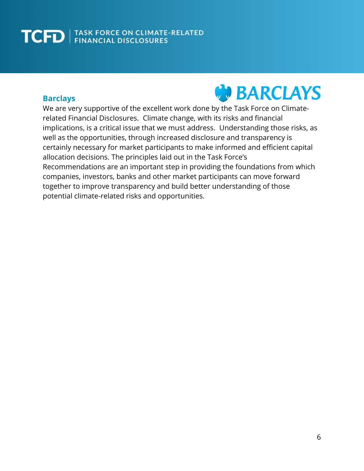### **Barclays**



We are very supportive of the excellent work done by the Task Force on Climaterelated Financial Disclosures. Climate change, with its risks and financial implications, is a critical issue that we must address. Understanding those risks, as well as the opportunities, through increased disclosure and transparency is certainly necessary for market participants to make informed and efficient capital allocation decisions. The principles laid out in the Task Force's Recommendations are an important step in providing the foundations from which companies, investors, banks and other market participants can move forward together to improve transparency and build better understanding of those potential climate-related risks and opportunities.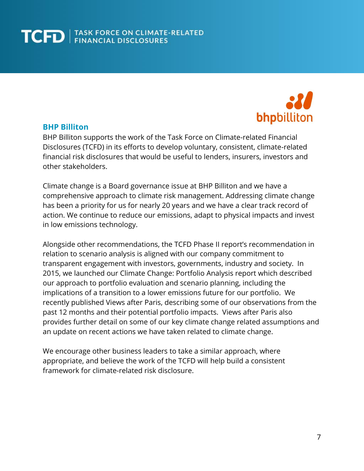

#### **BHP Billiton**

BHP Billiton supports the work of the Task Force on Climate-related Financial Disclosures (TCFD) in its efforts to develop voluntary, consistent, climate-related financial risk disclosures that would be useful to lenders, insurers, investors and other stakeholders.

Climate change is a Board governance issue at BHP Billiton and we have a comprehensive approach to climate risk management. Addressing climate change has been a priority for us for nearly 20 years and we have a clear track record of action. We continue to reduce our emissions, adapt to physical impacts and invest in low emissions technology.

Alongside other recommendations, the TCFD Phase II report's recommendation in relation to scenario analysis is aligned with our company commitment to transparent engagement with investors, governments, industry and society. In 2015, we launched our Climate Change: Portfolio Analysis report which described our approach to portfolio evaluation and scenario planning, including the implications of a transition to a lower emissions future for our portfolio. We recently published Views after Paris, describing some of our observations from the past 12 months and their potential portfolio impacts. Views after Paris also provides further detail on some of our key climate change related assumptions and an update on recent actions we have taken related to climate change.

We encourage other business leaders to take a similar approach, where appropriate, and believe the work of the TCFD will help build a consistent framework for climate-related risk disclosure.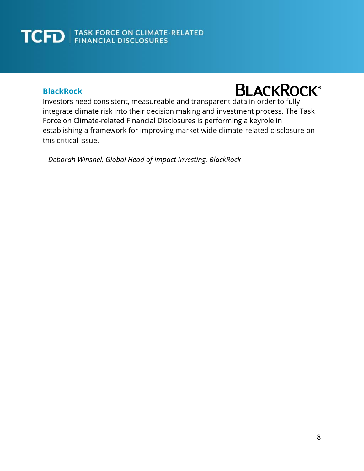### **BlackRock**

### **BLACKROCK®**

Investors need consistent, measureable and transparent data in order to fully integrate climate risk into their decision making and investment process. The Task Force on Climate-related Financial Disclosures is performing a keyrole in establishing a framework for improving market wide climate-related disclosure on this critical issue.

– *Deborah Winshel, Global Head of Impact Investing, BlackRock*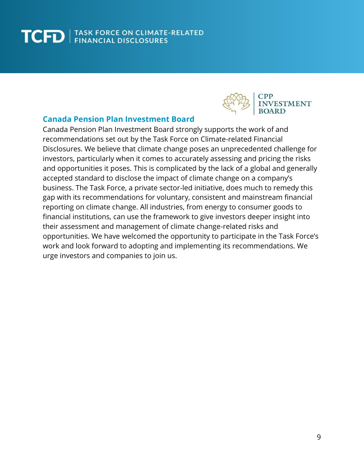

### **Canada Pension Plan Investment Board**

Canada Pension Plan Investment Board strongly supports the work of and recommendations set out by the Task Force on Climate-related Financial Disclosures. We believe that climate change poses an unprecedented challenge for investors, particularly when it comes to accurately assessing and pricing the risks and opportunities it poses. This is complicated by the lack of a global and generally accepted standard to disclose the impact of climate change on a company's business. The Task Force, a private sector-led initiative, does much to remedy this gap with its recommendations for voluntary, consistent and mainstream financial reporting on climate change. All industries, from energy to consumer goods to financial institutions, can use the framework to give investors deeper insight into their assessment and management of climate change-related risks and opportunities. We have welcomed the opportunity to participate in the Task Force's work and look forward to adopting and implementing its recommendations. We urge investors and companies to join us.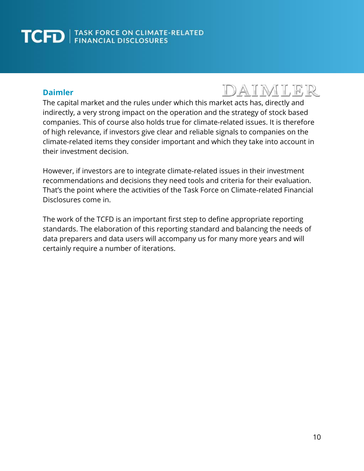### **Daimler**

### DAIMLER

The capital market and the rules under which this market acts has, directly and indirectly, a very strong impact on the operation and the strategy of stock based companies. This of course also holds true for climate-related issues. It is therefore of high relevance, if investors give clear and reliable signals to companies on the climate-related items they consider important and which they take into account in their investment decision.

However, if investors are to integrate climate-related issues in their investment recommendations and decisions they need tools and criteria for their evaluation. That's the point where the activities of the Task Force on Climate-related Financial Disclosures come in.

The work of the TCFD is an important first step to define appropriate reporting standards. The elaboration of this reporting standard and balancing the needs of data preparers and data users will accompany us for many more years and will certainly require a number of iterations.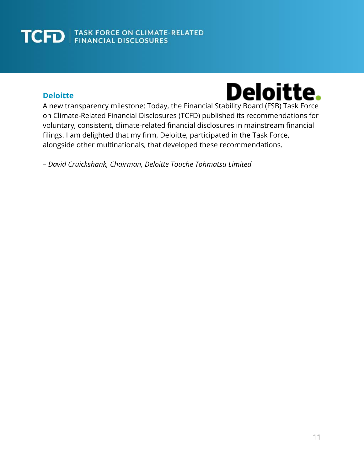### **Deloitte**



A new transparency milestone: Today, the Financial Stability Board (FSB) Task Force on Climate-Related Financial Disclosures (TCFD) published its recommendations for voluntary, consistent, climate-related financial disclosures in mainstream financial filings. I am delighted that my firm, Deloitte, participated in the Task Force, alongside other multinationals, that developed these recommendations.

– *David Cruickshank, Chairman, Deloitte Touche Tohmatsu Limited*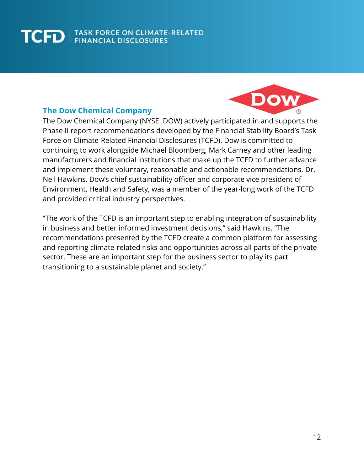# Dow

### **The Dow Chemical Company**

The Dow Chemical Company (NYSE: DOW) actively participated in and supports the Phase II report recommendations developed by the Financial Stability Board's Task Force on Climate-Related Financial Disclosures (TCFD). Dow is committed to continuing to work alongside Michael Bloomberg, Mark Carney and other leading manufacturers and financial institutions that make up the TCFD to further advance and implement these voluntary, reasonable and actionable recommendations. [Dr.](http://www.dow.com/en-us/investor-relations/corporate-governance/leadership/neil-hawkins)  Neil [Hawkins, Dow's chief sustainability officer and corporate vice president of](http://www.dow.com/en-us/investor-relations/corporate-governance/leadership/neil-hawkins)  [Environment, Health and Safety,](http://www.dow.com/en-us/investor-relations/corporate-governance/leadership/neil-hawkins) was a member of the year-long work of the TCFD and provided critical industry perspectives.

"The work of the TCFD is an important step to enabling integration of sustainability in business and better informed investment decisions," said Hawkins. "The recommendations presented by the TCFD create a common platform for assessing and reporting climate-related risks and opportunities across all parts of the private sector. These are an important step for the business sector to play its part transitioning to a sustainable planet and society."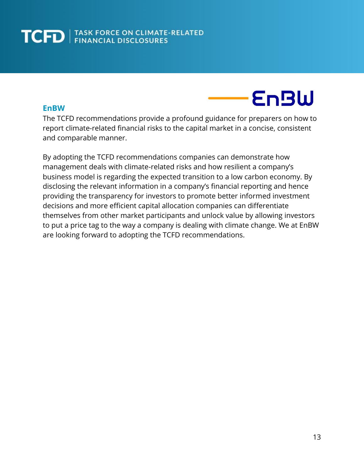### **EnBW**

**EnBW** 

The TCFD recommendations provide a profound guidance for preparers on how to report climate-related financial risks to the capital market in a concise, consistent and comparable manner.

By adopting the TCFD recommendations companies can demonstrate how management deals with climate-related risks and how resilient a company's business model is regarding the expected transition to a low carbon economy. By disclosing the relevant information in a company's financial reporting and hence providing the transparency for investors to promote better informed investment decisions and more efficient capital allocation companies can differentiate themselves from other market participants and unlock value by allowing investors to put a price tag to the way a company is dealing with climate change. We at EnBW are looking forward to adopting the TCFD recommendations.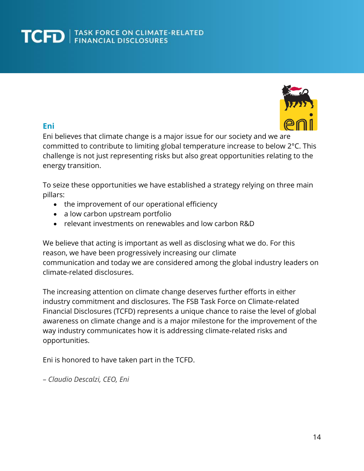

### **Eni**

Eni believes that climate change is a major issue for our society and we are committed to contribute to limiting global temperature increase to below 2°C. This challenge is not just representing risks but also great opportunities relating to the energy transition.

To seize these opportunities we have established a strategy relying on three main pillars:

- the improvement of our operational efficiency
- a low carbon upstream portfolio
- relevant investments on renewables and low carbon R&D

We believe that acting is important as well as disclosing what we do. For this reason, we have been progressively increasing our climate communication and today we are considered among the global industry leaders on climate-related disclosures.

The increasing attention on climate change deserves further efforts in either industry commitment and disclosures. The FSB Task Force on Climate-related Financial Disclosures (TCFD) represents a unique chance to raise the level of global awareness on climate change and is a major milestone for the improvement of the way industry communicates how it is addressing climate-related risks and opportunities.

Eni is honored to have taken part in the TCFD.

– *Claudio Descalzi, CEO, Eni*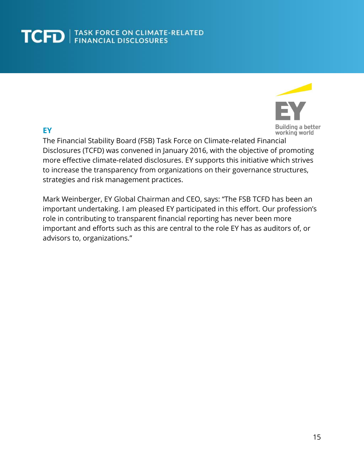### **EY**



The Financial Stability Board (FSB) Task Force on Climate-related Financial Disclosures (TCFD) was convened in January 2016, with the objective of promoting more effective climate-related disclosures. EY supports this initiative which strives to increase the transparency from organizations on their governance structures, strategies and risk management practices.

Mark Weinberger, EY Global Chairman and CEO, says: "The FSB TCFD has been an important undertaking. I am pleased EY participated in this effort. Our profession's role in contributing to transparent financial reporting has never been more important and efforts such as this are central to the role EY has as auditors of, or advisors to, organizations."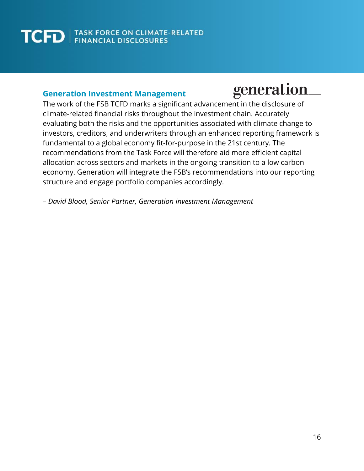### **Generation Investment Management**

### generation

The work of the FSB TCFD marks a significant advancement in the disclosure of climate-related financial risks throughout the investment chain. Accurately evaluating both the risks and the opportunities associated with climate change to investors, creditors, and underwriters through an enhanced reporting framework is fundamental to a global economy fit-for-purpose in the 21st century. The recommendations from the Task Force will therefore aid more efficient capital allocation across sectors and markets in the ongoing transition to a low carbon economy. Generation will integrate the FSB's recommendations into our reporting structure and engage portfolio companies accordingly.

– *David Blood, Senior Partner, Generation Investment Management*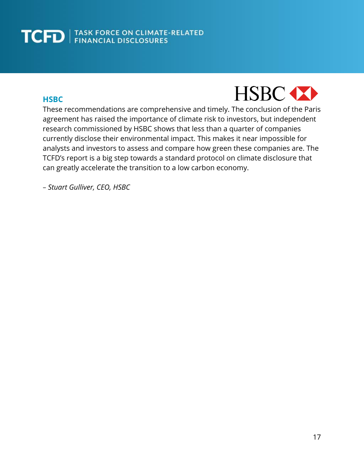### **HSBC**



These recommendations are comprehensive and timely. The conclusion of the Paris agreement has raised the importance of climate risk to investors, but independent research commissioned by HSBC shows that less than a quarter of companies currently disclose their environmental impact. This makes it near impossible for analysts and investors to assess and compare how green these companies are. The TCFD's report is a big step towards a standard protocol on climate disclosure that can greatly accelerate the transition to a low carbon economy.

*– Stuart Gulliver, CEO, HSBC*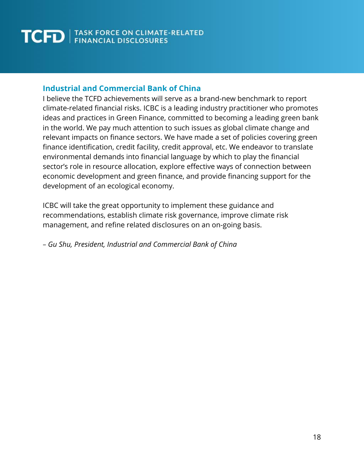### **Industrial and Commercial Bank of China**

I believe the TCFD achievements will serve as a brand-new benchmark to report climate-related financial risks. ICBC is a leading industry practitioner who promotes ideas and practices in Green Finance, committed to becoming a leading green bank in the world. We pay much attention to such issues as global climate change and relevant impacts on finance sectors. We have made a set of policies covering green finance identification, credit facility, credit approval, etc. We endeavor to translate environmental demands into financial language by which to play the financial sector's role in resource allocation, explore effective ways of connection between economic development and green finance, and provide financing support for the development of an ecological economy.

ICBC will take the great opportunity to implement these guidance and recommendations, establish climate risk governance, improve climate risk management, and refine related disclosures on an on-going basis.

*– Gu Shu, President, Industrial and Commercial Bank of China*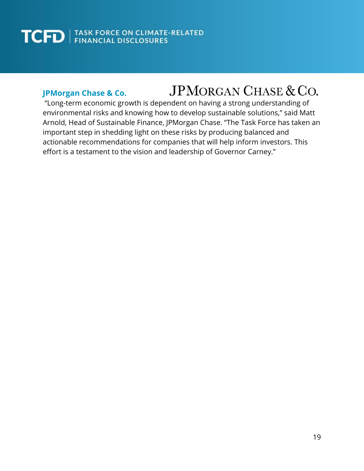### **JPMorgan Chase & Co.**

### **JPMORGAN CHASE & CO.**

"Long-term economic growth is dependent on having a strong understanding of environmental risks and knowing how to develop sustainable solutions," said Matt Arnold, Head of Sustainable Finance, JPMorgan Chase. "The Task Force has taken an important step in shedding light on these risks by producing balanced and actionable recommendations for companies that will help inform investors. This effort is a testament to the vision and leadership of Governor Carney."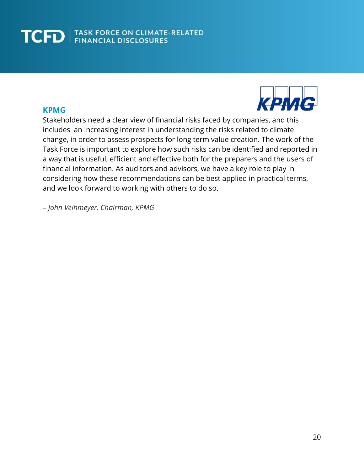### **KPMG**



Stakeholders need a clear view of financial risks faced by companies, and this includes an increasing interest in understanding the risks related to climate change, in order to assess prospects for long term value creation. The work of the Task Force is important to explore how such risks can be identified and reported in a way that is useful, efficient and effective both for the preparers and the users of financial information. As auditors and advisors, we have a key role to play in considering how these recommendations can be best applied in practical terms, and we look forward to working with others to do so.

– *John Veihmeyer, Chairman, KPMG*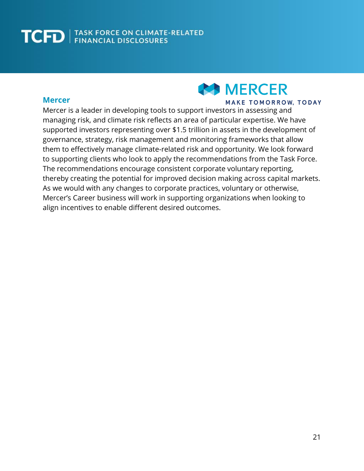### **AS MERCER**

### **Mercer**

#### **MAKE TOMORROW, TODAY**

Mercer is a leader in developing tools to support investors in assessing and managing risk, and climate risk reflects an area of particular expertise. We have supported investors representing over \$1.5 trillion in assets in the development of governance, strategy, risk management and monitoring frameworks that allow them to effectively manage climate-related risk and opportunity. We look forward to supporting clients who look to apply the recommendations from the Task Force. The recommendations encourage consistent corporate voluntary reporting, thereby creating the potential for improved decision making across capital markets. As we would with any changes to corporate practices, voluntary or otherwise, Mercer's Career business will work in supporting organizations when looking to align incentives to enable different desired outcomes.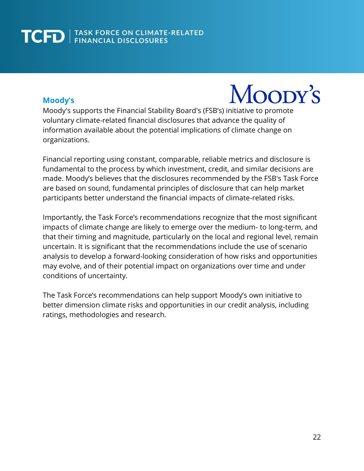### **Moody's**

Moopy's

Moody's supports the Financial Stability Board's (FSB's) initiative to promote voluntary climate-related financial disclosures that advance the quality of information available about the potential implications of climate change on organizations.

Financial reporting using constant, comparable, reliable metrics and disclosure is fundamental to the process by which investment, credit, and similar decisions are made. Moody's believes that the disclosures recommended by the FSB's Task Force are based on sound, fundamental principles of disclosure that can help market participants better understand the financial impacts of climate-related risks.

Importantly, the Task Force's recommendations recognize that the most significant impacts of climate change are likely to emerge over the medium- to long-term, and that their timing and magnitude, particularly on the local and regional level, remain uncertain. It is significant that the recommendations include the use of scenario analysis to develop a forward-looking consideration of how risks and opportunities may evolve, and of their potential impact on organizations over time and under conditions of uncertainty.

The Task Force's recommendations can help support Moody's own initiative to better dimension climate risks and opportunities in our credit analysis, including ratings, methodologies and research.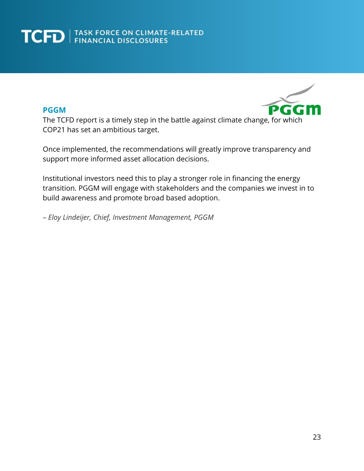### **PGGM**



The TCFD report is a timely step in the battle against climate change, for which COP21 has set an ambitious target.

Once implemented, the recommendations will greatly improve transparency and support more informed asset allocation decisions.

Institutional investors need this to play a stronger role in financing the energy transition. PGGM will engage with stakeholders and the companies we invest in to build awareness and promote broad based adoption.

– *Eloy Lindeijer, Chief, Investment Management, PGGM*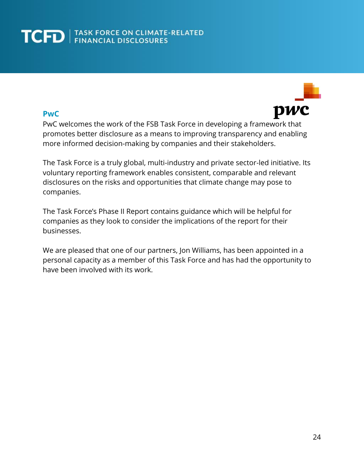### **PwC**

pwc

PwC welcomes the work of the FSB Task Force in developing a framework that promotes better disclosure as a means to improving transparency and enabling more informed decision-making by companies and their stakeholders.

The Task Force is a truly global, multi-industry and private sector-led initiative. Its voluntary reporting framework enables consistent, comparable and relevant disclosures on the risks and opportunities that climate change may pose to companies.

The Task Force's Phase II Report contains guidance which will be helpful for companies as they look to consider the implications of the report for their businesses.

We are pleased that one of our partners, Jon Williams, has been appointed in a personal capacity as a member of this Task Force and has had the opportunity to have been involved with its work.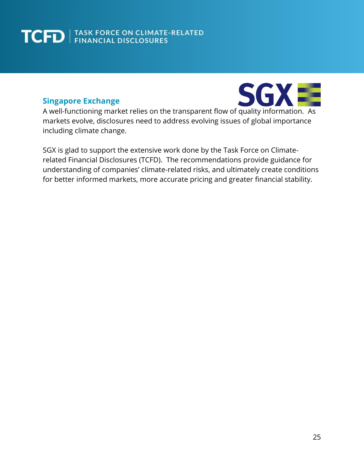### **Singapore Exchange**



A well-functioning market relies on the transparent flow of quality information. As markets evolve, disclosures need to address evolving issues of global importance including climate change.

SGX is glad to support the extensive work done by the Task Force on Climaterelated Financial Disclosures (TCFD). The recommendations provide guidance for understanding of companies' climate-related risks, and ultimately create conditions for better informed markets, more accurate pricing and greater financial stability.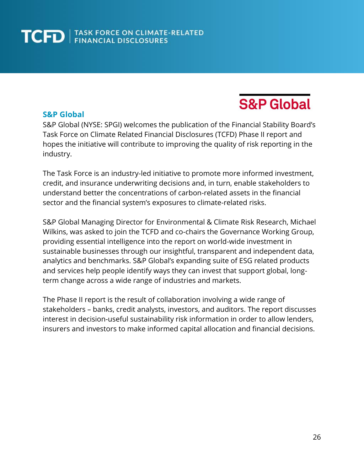### **S&P Global**

### **S&P Global**

S&P Global (NYSE: SPGI) welcomes the publication of the Financial Stability Board's Task Force on Climate Related Financial Disclosures (TCFD) Phase II report and hopes the initiative will contribute to improving the quality of risk reporting in the industry.

The Task Force is an industry-led initiative to promote more informed investment, credit, and insurance underwriting decisions and, in turn, enable stakeholders to understand better the concentrations of carbon-related assets in the financial sector and the financial system's exposures to climate-related risks.

S&P Global Managing Director for Environmental & Climate Risk Research, Michael Wilkins, was asked to join the TCFD and co-chairs the Governance Working Group, providing essential intelligence into the report on world-wide investment in sustainable businesses through our insightful, transparent and independent data, analytics and benchmarks. S&P Global's expanding suite of ESG related products and services help people identify ways they can invest that support global, longterm change across a wide range of industries and markets.

The Phase II report is the result of collaboration involving a wide range of stakeholders – banks, credit analysts, investors, and auditors. The report discusses interest in decision-useful sustainability risk information in order to allow lenders, insurers and investors to make informed capital allocation and financial decisions.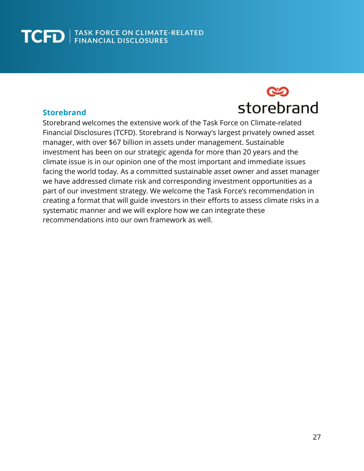### **Storebrand**



Storebrand welcomes the extensive work of the Task Force on Climate-related Financial Disclosures (TCFD). Storebrand is Norway's largest privately owned asset manager, with over \$67 billion in assets under management. Sustainable investment has been on our strategic agenda for more than 20 years and the climate issue is in our opinion one of the most important and immediate issues facing the world today. As a committed sustainable asset owner and asset manager we have addressed climate risk and corresponding investment opportunities as a part of our investment strategy. We welcome the Task Force's recommendation in creating a format that will guide investors in their efforts to assess climate risks in a systematic manner and we will explore how we can integrate these recommendations into our own framework as well.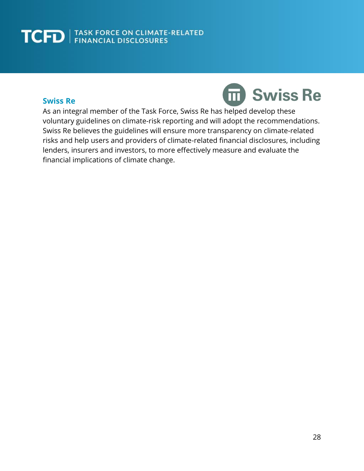### **Swiss Re**



As an integral member of the Task Force, Swiss Re has helped develop these voluntary guidelines on climate-risk reporting and will adopt the recommendations. Swiss Re believes the guidelines will ensure more transparency on climate-related risks and help users and providers of climate-related financial disclosures, including lenders, insurers and investors, to more effectively measure and evaluate the financial implications of climate change.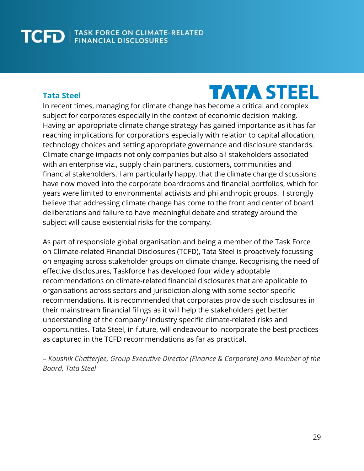### **Tata Steel**

## **TATA STEEL**

In recent times, managing for climate change has become a critical and complex subject for corporates especially in the context of economic decision making. Having an appropriate climate change strategy has gained importance as it has far reaching implications for corporations especially with relation to capital allocation, technology choices and setting appropriate governance and disclosure standards. Climate change impacts not only companies but also all stakeholders associated with an enterprise viz., supply chain partners, customers, communities and financial stakeholders. I am particularly happy, that the climate change discussions have now moved into the corporate boardrooms and financial portfolios, which for years were limited to environmental activists and philanthropic groups. I strongly believe that addressing climate change has come to the front and center of board deliberations and failure to have meaningful debate and strategy around the subject will cause existential risks for the company.

As part of responsible global organisation and being a member of the Task Force on Climate-related Financial Disclosures (TCFD), Tata Steel is proactively focussing on engaging across stakeholder groups on climate change. Recognising the need of effective disclosures, Taskforce has developed four widely adoptable recommendations on climate-related financial disclosures that are applicable to organisations across sectors and jurisdiction along with some sector specific recommendations. It is recommended that corporates provide such disclosures in their mainstream financial filings as it will help the stakeholders get better understanding of the company/ industry specific climate-related risks and opportunities. Tata Steel, in future, will endeavour to incorporate the best practices as captured in the TCFD recommendations as far as practical.

– *Koushik Chatterjee, Group Executive Director (Finance & Corporate) and Member of the Board, Tata Steel*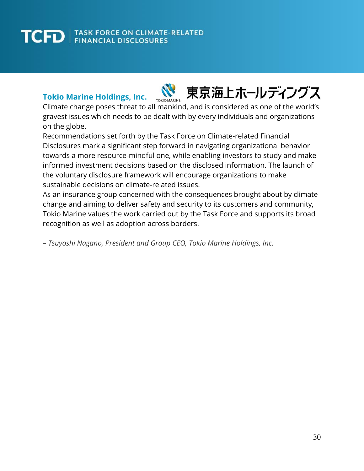### **Tokio Marine Holdings, Inc.**

東京海上ホールディングス **TOKIO MARINE** 

Climate change poses threat to all mankind, and is considered as one of the world's gravest issues which needs to be dealt with by every individuals and organizations on the globe.

Recommendations set forth by the Task Force on Climate-related Financial Disclosures mark a significant step forward in navigating organizational behavior towards a more resource-mindful one, while enabling investors to study and make informed investment decisions based on the disclosed information. The launch of the voluntary disclosure framework will encourage organizations to make sustainable decisions on climate-related issues.

As an insurance group concerned with the consequences brought about by climate change and aiming to deliver safety and security to its customers and community, Tokio Marine values the work carried out by the Task Force and supports its broad recognition as well as adoption across borders.

– *Tsuyoshi Nagano, President and Group CEO, Tokio Marine Holdings, Inc.*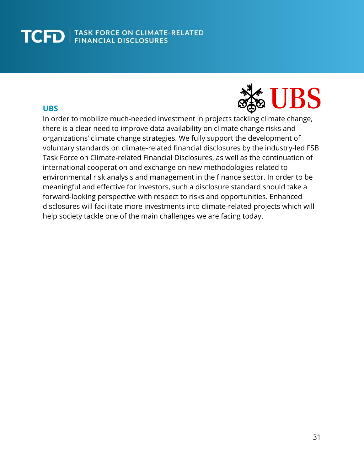### **UBS**



In order to mobilize much-needed investment in projects tackling climate change, there is a clear need to improve data availability on climate change risks and organizations' climate change strategies. We fully support the development of voluntary standards on climate-related financial disclosures by the industry-led FSB Task Force on Climate-related Financial Disclosures, as well as the continuation of international cooperation and exchange on new methodologies related to environmental risk analysis and management in the finance sector. In order to be meaningful and effective for investors, such a disclosure standard should take a forward-looking perspective with respect to risks and opportunities. Enhanced disclosures will facilitate more investments into climate-related projects which will help society tackle one of the main challenges we are facing today.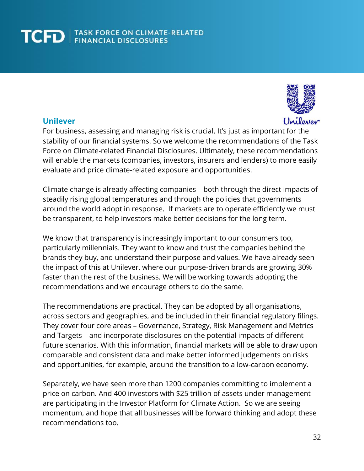

### **Unilever**

For business, assessing and managing risk is crucial. It's just as important for the stability of our financial systems. So we welcome the recommendations of the Task Force on Climate-related Financial Disclosures. Ultimately, these recommendations will enable the markets (companies, investors, insurers and lenders) to more easily evaluate and price climate-related exposure and opportunities.

Climate change is already affecting companies – both through the direct impacts of steadily rising global temperatures and through the policies that governments around the world adopt in response. If markets are to operate efficiently we must be transparent, to help investors make better decisions for the long term.

We know that transparency is increasingly important to our consumers too, particularly millennials. They want to know and trust the companies behind the brands they buy, and understand their purpose and values. We have already seen the impact of this at Unilever, where our purpose-driven brands are growing 30% faster than the rest of the business. We will be working towards adopting the recommendations and we encourage others to do the same.

The recommendations are practical. They can be adopted by all organisations, across sectors and geographies, and be included in their financial regulatory filings. They cover four core areas – Governance, Strategy, Risk Management and Metrics and Targets – and incorporate disclosures on the potential impacts of different future scenarios. With this information, financial markets will be able to draw upon comparable and consistent data and make better informed judgements on risks and opportunities, for example, around the transition to a low-carbon economy.

Separately, we have seen more than 1200 companies committing to implement a price on carbon. And 400 investors with \$25 trillion of assets under management are participating in the Investor Platform for Climate Action. So we are seeing momentum, and hope that all businesses will be forward thinking and adopt these recommendations too.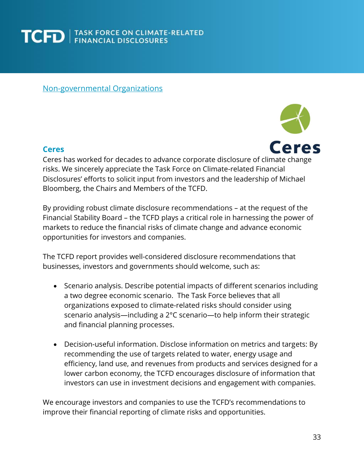

Non-governmental Organizations

#### **Ceres**



Ceres has worked for decades to advance corporate disclosure of climate change risks. We sincerely appreciate the Task Force on Climate-related Financial Disclosures' efforts to solicit input from investors and the leadership of Michael Bloomberg, the Chairs and Members of the TCFD.

By providing robust climate disclosure recommendations – at the request of the Financial Stability Board – the TCFD plays a critical role in harnessing the power of markets to reduce the financial risks of climate change and advance economic opportunities for investors and companies.

The TCFD report provides well-considered disclosure recommendations that businesses, investors and governments should welcome, such as:

- Scenario analysis. Describe potential impacts of different scenarios including a two degree economic scenario. The Task Force believes that all organizations exposed to climate-related risks should consider using scenario analysis—including a 2°C scenario—to help inform their strategic and financial planning processes.
- Decision-useful information. Disclose information on metrics and targets: By recommending the use of targets related to water, energy usage and efficiency, land use, and revenues from products and services designed for a lower carbon economy, the TCFD encourages disclosure of information that investors can use in investment decisions and engagement with companies.

We encourage investors and companies to use the TCFD's recommendations to improve their financial reporting of climate risks and opportunities.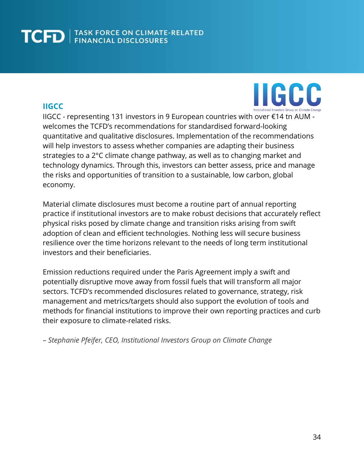### **IIGCC**



IIGCC - representing 131 investors in 9 European countries with over €14 tn AUM welcomes the TCFD's recommendations for standardised forward-looking quantitative and qualitative disclosures. Implementation of the recommendations will help investors to assess whether companies are adapting their business strategies to a 2°C climate change pathway, as well as to changing market and technology dynamics. Through this, investors can better assess, price and manage the risks and opportunities of transition to a sustainable, low carbon, global economy.

Material climate disclosures must become a routine part of annual reporting practice if institutional investors are to make robust decisions that accurately reflect physical risks posed by climate change and transition risks arising from swift adoption of clean and efficient technologies. Nothing less will secure business resilience over the time horizons relevant to the needs of long term institutional investors and their beneficiaries.

Emission reductions required under the Paris Agreement imply a swift and potentially disruptive move away from fossil fuels that will transform all major sectors. TCFD's recommended disclosures related to governance, strategy, risk management and metrics/targets should also support the evolution of tools and methods for financial institutions to improve their own reporting practices and curb their exposure to climate-related risks.

– *Stephanie Pfeifer, CEO, Institutional Investors Group on Climate Change*